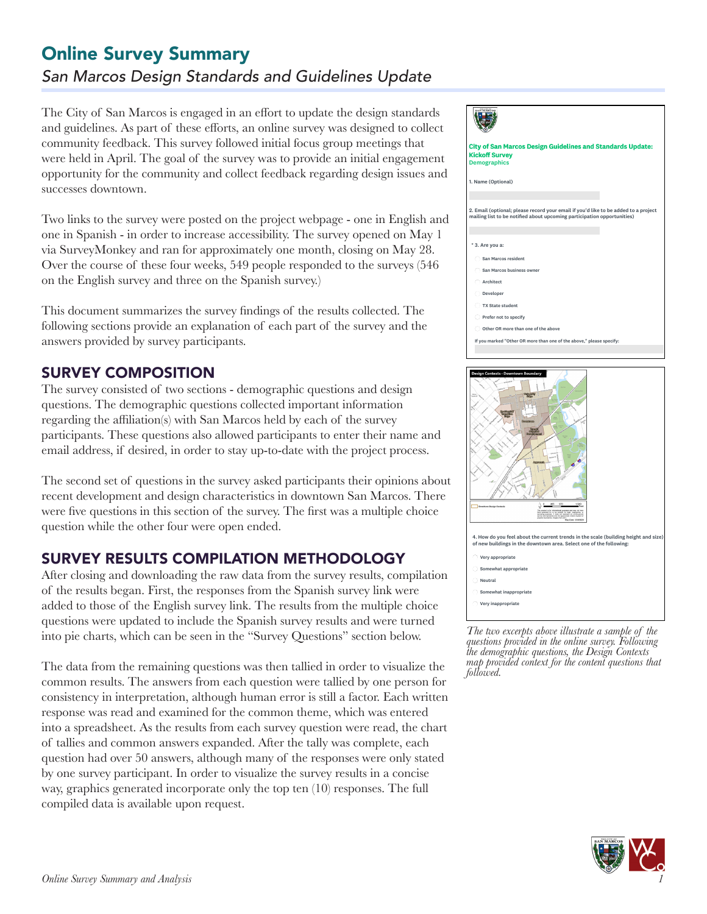# *San Marcos Design Standards and Guidelines Update* Online Survey Summary

The City of San Marcos is engaged in an effort to update the design standards and guidelines. As part of these efforts, an online survey was designed to collect community feedback. This survey followed initial focus group meetings that were held in April. The goal of the survey was to provide an initial engagement opportunity for the community and collect feedback regarding design issues and successes downtown.

Two links to the survey were posted on the project webpage - one in English and one in Spanish - in order to increase accessibility. The survey opened on May 1 via SurveyMonkey and ran for approximately one month, closing on May 28. Over the course of these four weeks, 549 people responded to the surveys (546 on the English survey and three on the Spanish survey.)

This document summarizes the survey findings of the results collected. The following sections provide an explanation of each part of the survey and the answers provided by survey participants.

## SURVEY COMPOSITION

The survey consisted of two sections - demographic questions and design questions. The demographic questions collected important information regarding the affiliation(s) with San Marcos held by each of the survey participants. These questions also allowed participants to enter their name and email address, if desired, in order to stay up-to-date with the project process.

The second set of questions in the survey asked participants their opinions about recent development and design characteristics in downtown San Marcos. There were five questions in this section of the survey. The first was a multiple choice question while the other four were open ended.

## SURVEY RESULTS COMPILATION METHODOLOGY

After closing and downloading the raw data from the survey results, compilation of the results began. First, the responses from the Spanish survey link were added to those of the English survey link. The results from the multiple choice questions were updated to include the Spanish survey results and were turned into pie charts, which can be seen in the "Survey Questions" section below.

The data from the remaining questions was then tallied in order to visualize the common results. The answers from each question were tallied by one person for consistency in interpretation, although human error is still a factor. Each written response was read and examined for the common theme, which was entered into a spreadsheet. As the results from each survey question were read, the chart of tallies and common answers expanded. After the tally was complete, each question had over 50 answers, although many of the responses were only stated by one survey participant. In order to visualize the survey results in a concise way, graphics generated incorporate only the top ten (10) responses. The full compiled data is available upon request.





*The two excerpts above illustrate a sample of the questions provided in the online survey. Following the demographic questions, the Design Contexts map provided context for the content questions that followed.* 

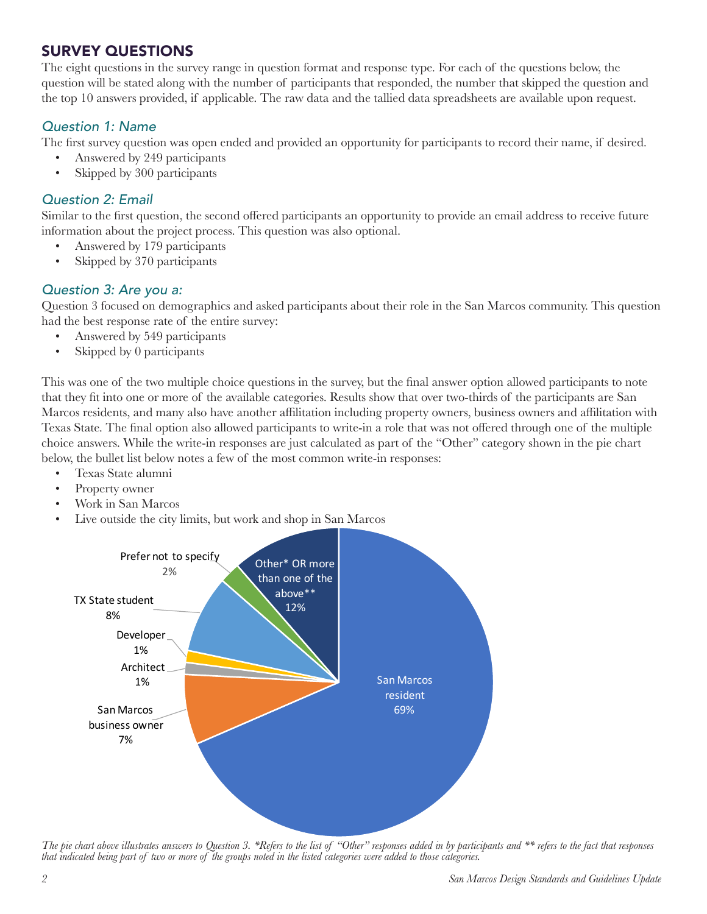## SURVEY QUESTIONS

The eight questions in the survey range in question format and response type. For each of the questions below, the question will be stated along with the number of participants that responded, the number that skipped the question and the top 10 answers provided, if applicable. The raw data and the tallied data spreadsheets are available upon request.

### *Question 1: Name*

The first survey question was open ended and provided an opportunity for participants to record their name, if desired.

- Answered by 249 participants
- Skipped by 300 participants

### *Question 2: Email*

Similar to the first question, the second offered participants an opportunity to provide an email address to receive future information about the project process. This question was also optional.

- Answered by 179 participants
- Skipped by 370 participants

### *Question 3: Are you a:*

Question 3 focused on demographics and asked participants about their role in the San Marcos community. This question had the best response rate of the entire survey:

- Answered by 549 participants
- Skipped by 0 participants

This was one of the two multiple choice questions in the survey, but the final answer option allowed participants to note that they fit into one or more of the available categories. Results show that over two-thirds of the participants are San Marcos residents, and many also have another affilitation including property owners, business owners and affilitation with Texas State. The final option also allowed participants to write-in a role that was not offered through one of the multiple choice answers. While the write-in responses are just calculated as part of the "Other" category shown in the pie chart below, the bullet list below notes a few of the most common write-in responses:

- Texas State alumni
- Property owner
- Work in San Marcos
- Live outside the city limits, but work and shop in San Marcos



*The pie chart above illustrates answers to Question 3. \*Refers to the list of "Other" responses added in by participants and \*\* refers to the fact that responses that indicated being part of two or more of the groups noted in the listed categories were added to those categories.*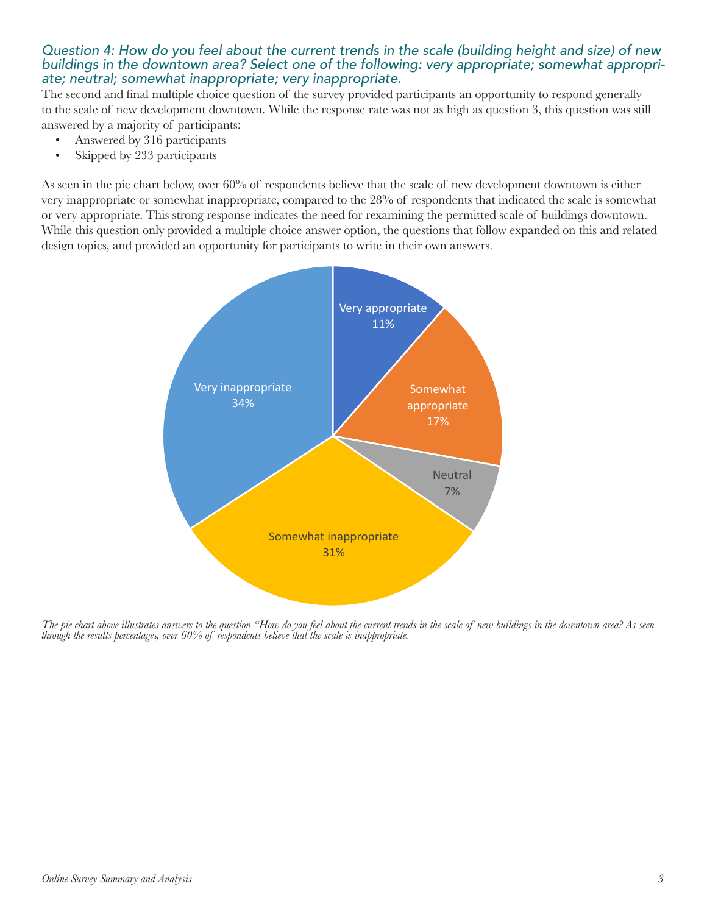#### *Question 4: How do you feel about the current trends in the scale (building height and size) of new buildings in the downtown area? Select one of the following: very appropriate; somewhat appropriate; neutral; somewhat inappropriate; very inappropriate.*

The second and final multiple choice question of the survey provided participants an opportunity to respond generally to the scale of new development downtown. While the response rate was not as high as question 3, this question was still answered by a majority of participants:

- Answered by 316 participants
- Skipped by 233 participants

As seen in the pie chart below, over 60% of respondents believe that the scale of new development downtown is either very inappropriate or somewhat inappropriate, compared to the 28% of respondents that indicated the scale is somewhat or very appropriate. This strong response indicates the need for rexamining the permitted scale of buildings downtown. or very appropriate. 1 nis strong response indicates the need for rexamining the permitted scale of buildings downtown.<br>While this question only provided a multiple choice answer option, the questions that follow expanded design topics, and provided an opportunity for participants to write in their own answers.



*The pie chart above illustrates answers to the question "How do you feel about the current trends in the scale of new buildings in the downtown area? As seen through the results percentages, over 60% of respondents believe that the scale is inappropriate.*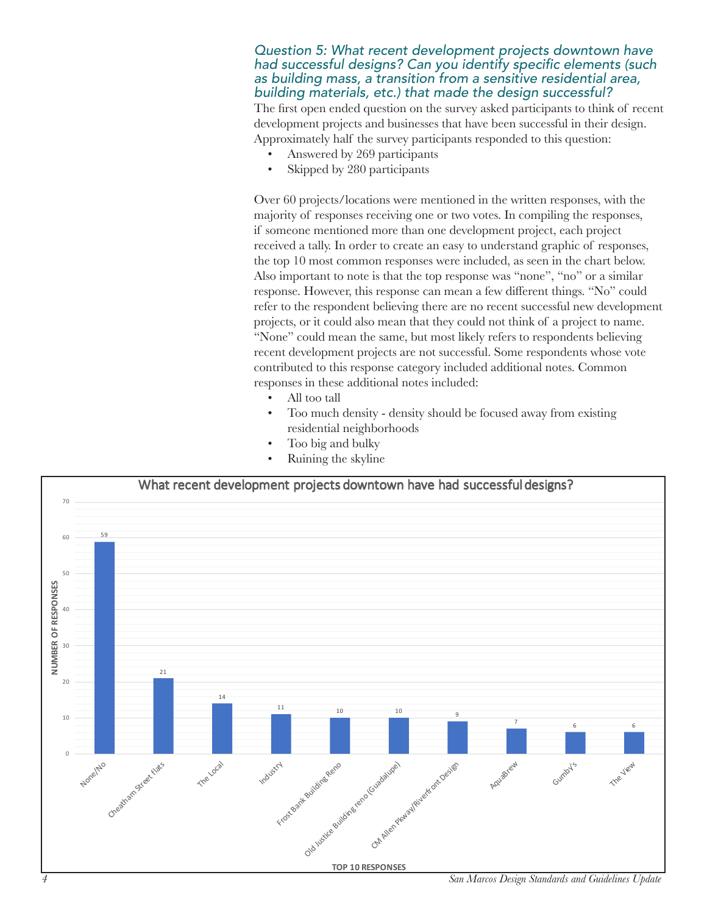#### *Question 5: What recent development projects downtown have*  had successful designs? Can you identify specific elements (such *as building mass, a transition from a sensitive residential area, building materials, etc.) that made the design successful?*

The first open ended question on the survey asked participants to think of recent development projects and businesses that have been successful in their design. Approximately half the survey participants responded to this question:

- Answered by 269 participants
- Skipped by 280 participants

Over 60 projects/locations were mentioned in the written responses, with the majority of responses receiving one or two votes. In compiling the responses, if someone mentioned more than one development project, each project received a tally. In order to create an easy to understand graphic of responses, the top 10 most common responses were included, as seen in the chart below. Also important to note is that the top response was "none", "no" or a similar response. However, this response can mean a few different things. "No" could refer to the respondent believing there are no recent successful new development projects, or it could also mean that they could not think of a project to name. "None" could mean the same, but most likely refers to respondents believing recent development projects are not successful. Some respondents whose vote contributed to this response category included additional notes. Common responses in these additional notes included:

- All too tall
- Too much density density should be focused away from existing residential neighborhoods
- Too big and bulky
- Ruining the skyline



*4 San Marcos Design Standards and Guidelines Update*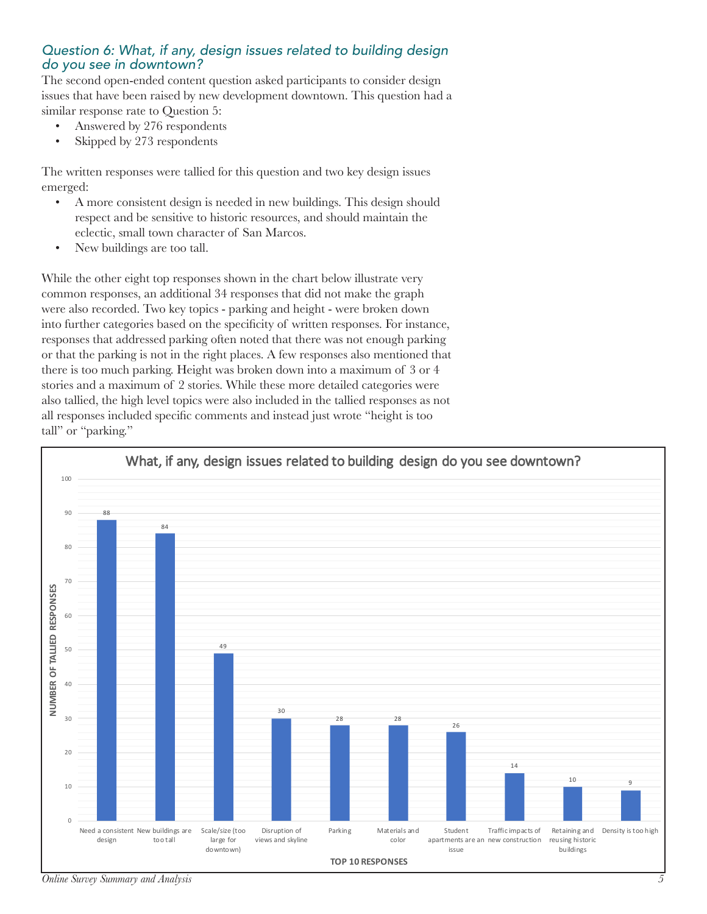#### *Question 6: What, if any, design issues related to building design do you see in downtown?*

The second open-ended content question asked participants to consider design issues that have been raised by new development downtown. This question had a similar response rate to Question 5:

- Answered by 276 respondents
- Skipped by 273 respondents

The written responses were tallied for this question and two key design issues emerged:

- A more consistent design is needed in new buildings. This design should respect and be sensitive to historic resources, and should maintain the eclectic, small town character of San Marcos.
- New buildings are too tall.

While the other eight top responses shown in the chart below illustrate very common responses, an additional 34 responses that did not make the graph were also recorded. Two key topics - parking and height - were broken down into further categories based on the specificity of written responses. For instance, responses that addressed parking often noted that there was not enough parking or that the parking is not in the right places. A few responses also mentioned that there is too much parking. Height was broken down into a maximum of 3 or 4 stories and a maximum of 2 stories. While these more detailed categories were also tallied, the high level topics were also included in the tallied responses as not all responses included specific comments and instead just wrote "height is too tall" or "parking."

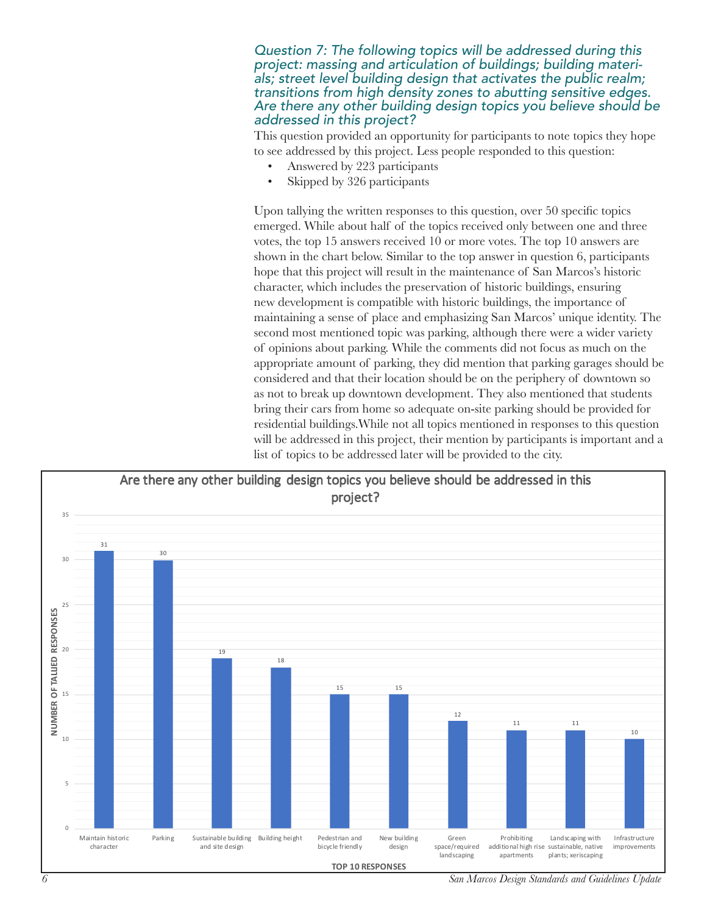*Question 7: The following topics will be addressed during this project: massing and articulation of buildings; building materials; street level building design that activates the public realm; transitions from high density zones to abutting sensitive edges. Are there any other building design topics you believe should be addressed in this project?*

This question provided an opportunity for participants to note topics they hope to see addressed by this project. Less people responded to this question:

- Answered by 223 participants
- Skipped by 326 participants

Upon tallying the written responses to this question, over 50 specific topics emerged. While about half of the topics received only between one and three votes, the top 15 answers received 10 or more votes. The top 10 answers are shown in the chart below. Similar to the top answer in question 6, participants hope that this project will result in the maintenance of San Marcos's historic character, which includes the preservation of historic buildings, ensuring new development is compatible with historic buildings, the importance of maintaining a sense of place and emphasizing San Marcos' unique identity. The second most mentioned topic was parking, although there were a wider variety of opinions about parking. While the comments did not focus as much on the appropriate amount of parking, they did mention that parking garages should be considered and that their location should be on the periphery of downtown so as not to break up downtown development. They also mentioned that students bring their cars from home so adequate on-site parking should be provided for residential buildings.While not all topics mentioned in responses to this question will be addressed in this project, their mention by participants is important and a list of topics to be addressed later will be provided to the city.



*<sup>6</sup> San Marcos Design Standards and Guidelines Update*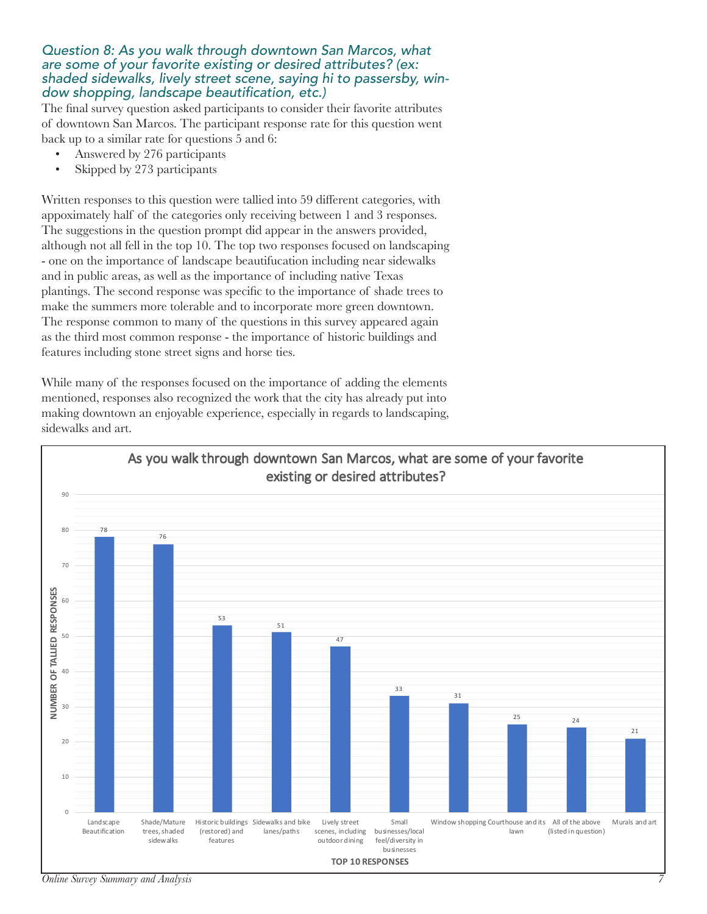#### *Question 8: As you walk through downtown San Marcos, what are some of your favorite existing or desired attributes? (ex: shaded sidewalks, lively street scene, saying hi to passersby, win*dow shopping, landscape beautification, etc.)

The final survey question asked participants to consider their favorite attributes of downtown San Marcos. The participant response rate for this question went back up to a similar rate for questions 5 and 6:

- Answered by 276 participants
- Skipped by 273 participants

Written responses to this question were tallied into 59 different categories, with appoximately half of the categories only receiving between 1 and 3 responses. The suggestions in the question prompt did appear in the answers provided, although not all fell in the top 10. The top two responses focused on landscaping - one on the importance of landscape beautifucation including near sidewalks and in public areas, as well as the importance of including native Texas plantings. The second response was specific to the importance of shade trees to make the summers more tolerable and to incorporate more green downtown. The response common to many of the questions in this survey appeared again as the third most common response - the importance of historic buildings and features including stone street signs and horse ties.

While many of the responses focused on the importance of adding the elements mentioned, responses also recognized the work that the city has already put into making downtown an enjoyable experience, especially in regards to landscaping, sidewalks and art.



*Online Survey Summary and Analysis 7*